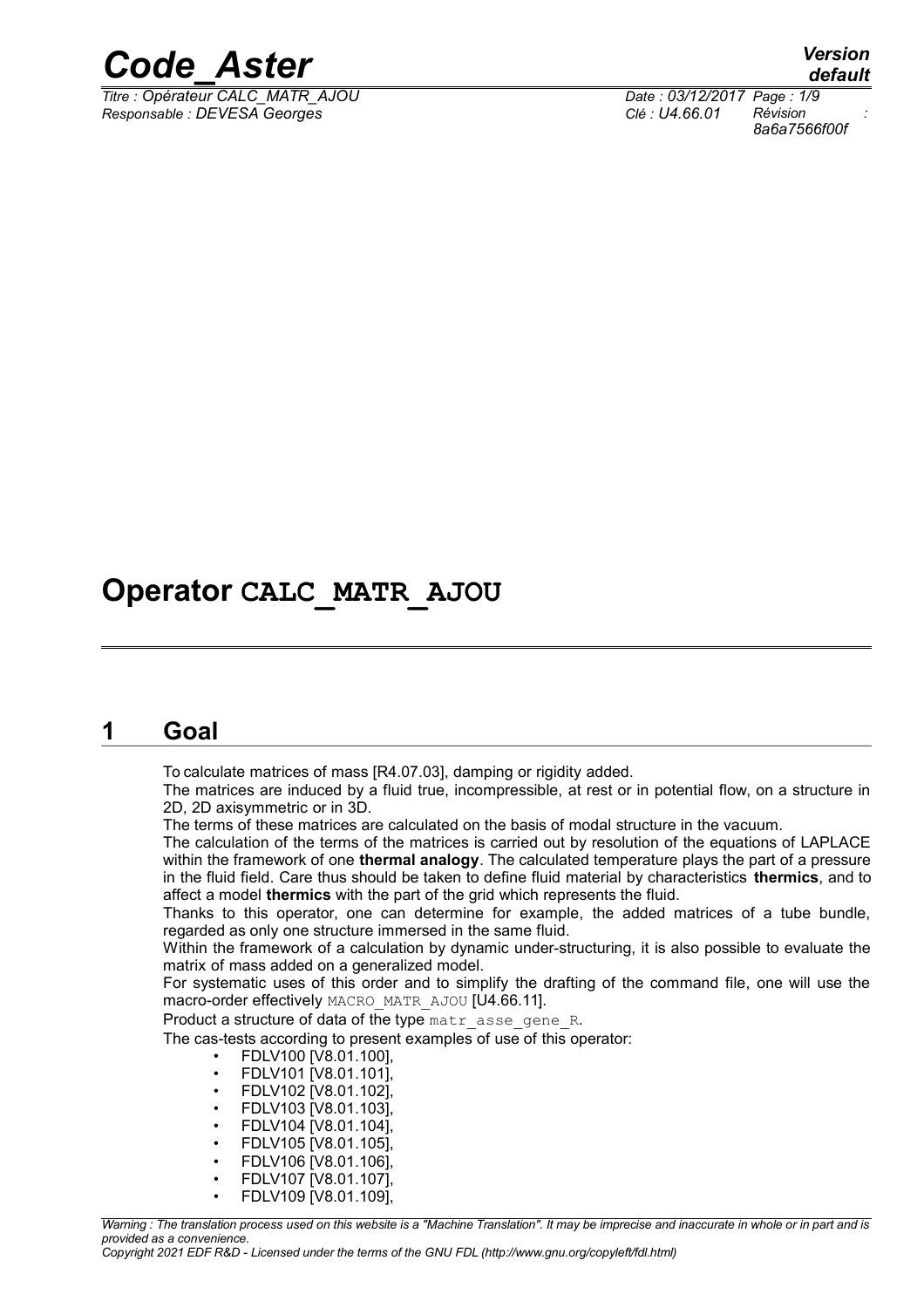

*Titre : Opérateur CALC\_MATR\_AJOU Date : 03/12/2017 Page : 1/9 Responsable : DEVESA Georges Clé : U4.66.01 Révision :*

## **Operator CALC\_MATR\_AJOU**

### **1 Goal**

To calculate matrices of mass [R4.07.03], damping or rigidity added.

The matrices are induced by a fluid true, incompressible, at rest or in potential flow, on a structure in 2D, 2D axisymmetric or in 3D.

The terms of these matrices are calculated on the basis of modal structure in the vacuum.

The calculation of the terms of the matrices is carried out by resolution of the equations of LAPLACE within the framework of one **thermal analogy**. The calculated temperature plays the part of a pressure in the fluid field. Care thus should be taken to define fluid material by characteristics **thermics**, and to affect a model **thermics** with the part of the grid which represents the fluid.

Thanks to this operator, one can determine for example, the added matrices of a tube bundle, regarded as only one structure immersed in the same fluid.

Within the framework of a calculation by dynamic under-structuring, it is also possible to evaluate the matrix of mass added on a generalized model.

For systematic uses of this order and to simplify the drafting of the command file, one will use the macro-order effectively MACRO\_MATR\_AJOU [U4.66.11].

Product a structure of data of the type matr asse gene R.

The cas-tests according to present examples of use of this operator:

- FDLV100 [V8.01.100],
- FDLV101 [V8.01.101],
- FDLV102 [V8.01.102],
- FDLV103 [V8.01.103],
- FDLV104 [V8.01.104],
- FDLV105 [V8.01.105],
- FDLV106 [V8.01.106],
- FDLV107 [V8.01.107],
- FDLV109 [V8.01.109],

*Warning : The translation process used on this website is a "Machine Translation". It may be imprecise and inaccurate in whole or in part and is provided as a convenience.*

*Copyright 2021 EDF R&D - Licensed under the terms of the GNU FDL (http://www.gnu.org/copyleft/fdl.html)*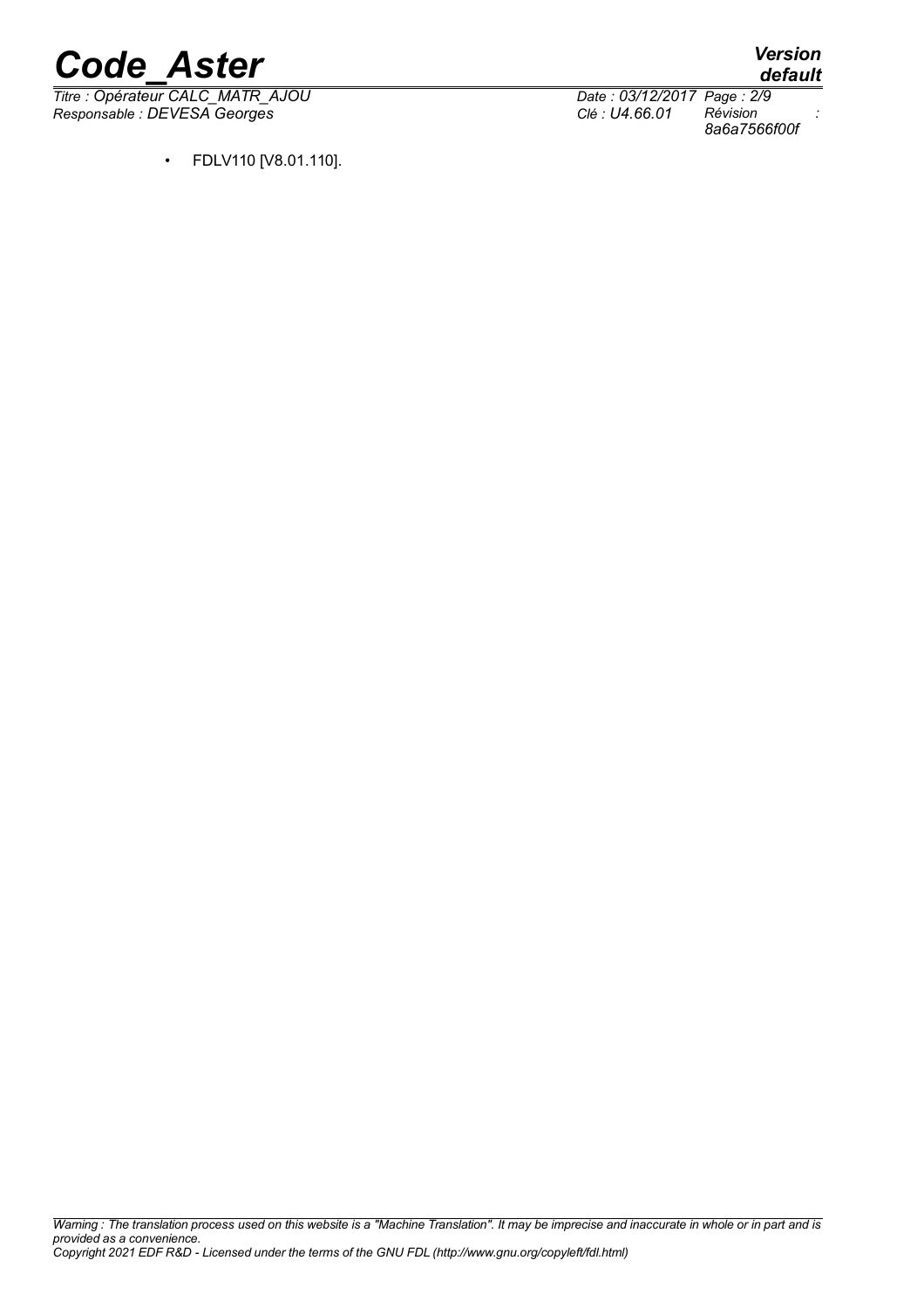*Titre : Opérateur CALC\_MATR\_AJOU Date : 03/12/2017 Page : 2/9 Responsable : DEVESA Georges Clé : U4.66.01 Révision :*

*default 8a6a7566f00f*

• FDLV110 [V8.01.110].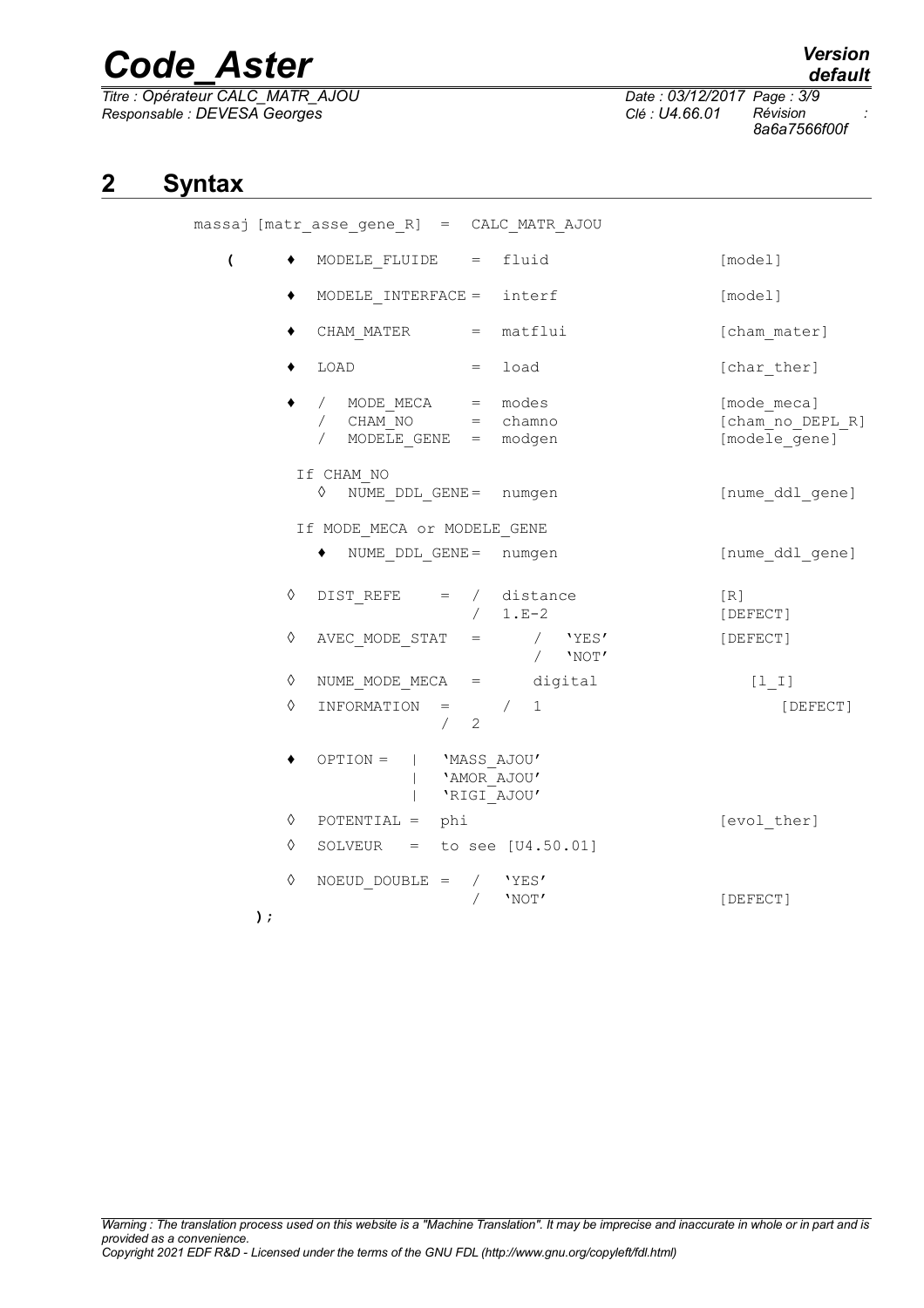*Titre : Opérateur CALC\_MATR\_AJOU Date : 03/12/2017 Page : 3/9 Responsable : DEVESA Georges Clé : U4.66.01 Révision :*

massaj

*8a6a7566f00f*

### **2 Syntax**

|                |                                                        | saj [matr_asse_gene_R] = CALC_MATR_AJOU                                                        |           |                                                  |
|----------------|--------------------------------------------------------|------------------------------------------------------------------------------------------------|-----------|--------------------------------------------------|
| $\overline{ }$ |                                                        | MODELE FLUIDE $=$ fluid                                                                        |           | [model]                                          |
|                | ٠                                                      | MODELE INTERFACE = $interf$                                                                    |           | [model]                                          |
|                | ٠                                                      | CHAM MATER = matflui                                                                           |           | [cham mater]                                     |
|                | ٠                                                      | LOAD<br>$=$ load                                                                               |           | [char ther]                                      |
|                |                                                        | / MODE MECA = modes<br>$/$ CHAM NO = chamno<br>MODELE GENE = modgen<br>$\sqrt{2}$              |           | [mode meca]<br>[cham_no_DEPL_R]<br>[modele gene] |
|                |                                                        | If CHAM NO<br>♦<br>NUME DDL GENE = numgen                                                      |           | [nume ddl gene]                                  |
|                |                                                        | If MODE MECA or MODELE GENE                                                                    |           |                                                  |
|                |                                                        | NUME DDL GENE = numgen                                                                         |           | [nume ddl gene]                                  |
|                | ♦                                                      | $DIST\_REFE$ = / distance<br>$/ 1.E-2$                                                         |           | [R]<br>[DEFECT]                                  |
|                | ♦                                                      | $\begin{array}{cccccc} \texttt{AVEC\_MODE\_STAT} & = & \texttt{}/ & \texttt{YES'} \end{array}$ | $/$ 'NOT' | [DEFECT]                                         |
|                | ♦                                                      | NUME MODE MECA $=$ digital                                                                     |           | $[1 1]$                                          |
|                | ♦                                                      | INFORMATION<br>$=$ /<br>1<br>2<br>$\sqrt{2}$                                                   |           | [DEFECT]                                         |
|                | $OPTION =   'Mass AJOU'$<br>'AMOR_AJOU'<br>'RIGI AJOU' |                                                                                                |           |                                                  |
|                | ♦                                                      | $POTENTIAL = phi$                                                                              |           | [evol ther]                                      |
|                | ♦                                                      | SOLVEUR = to see $[U4.50.01]$                                                                  |           |                                                  |
|                | ♦<br>);                                                | $NOEUD DOUBLE =$<br>$/$ 'YES'<br>'NOT'                                                         |           | [DEFECT]                                         |

*default*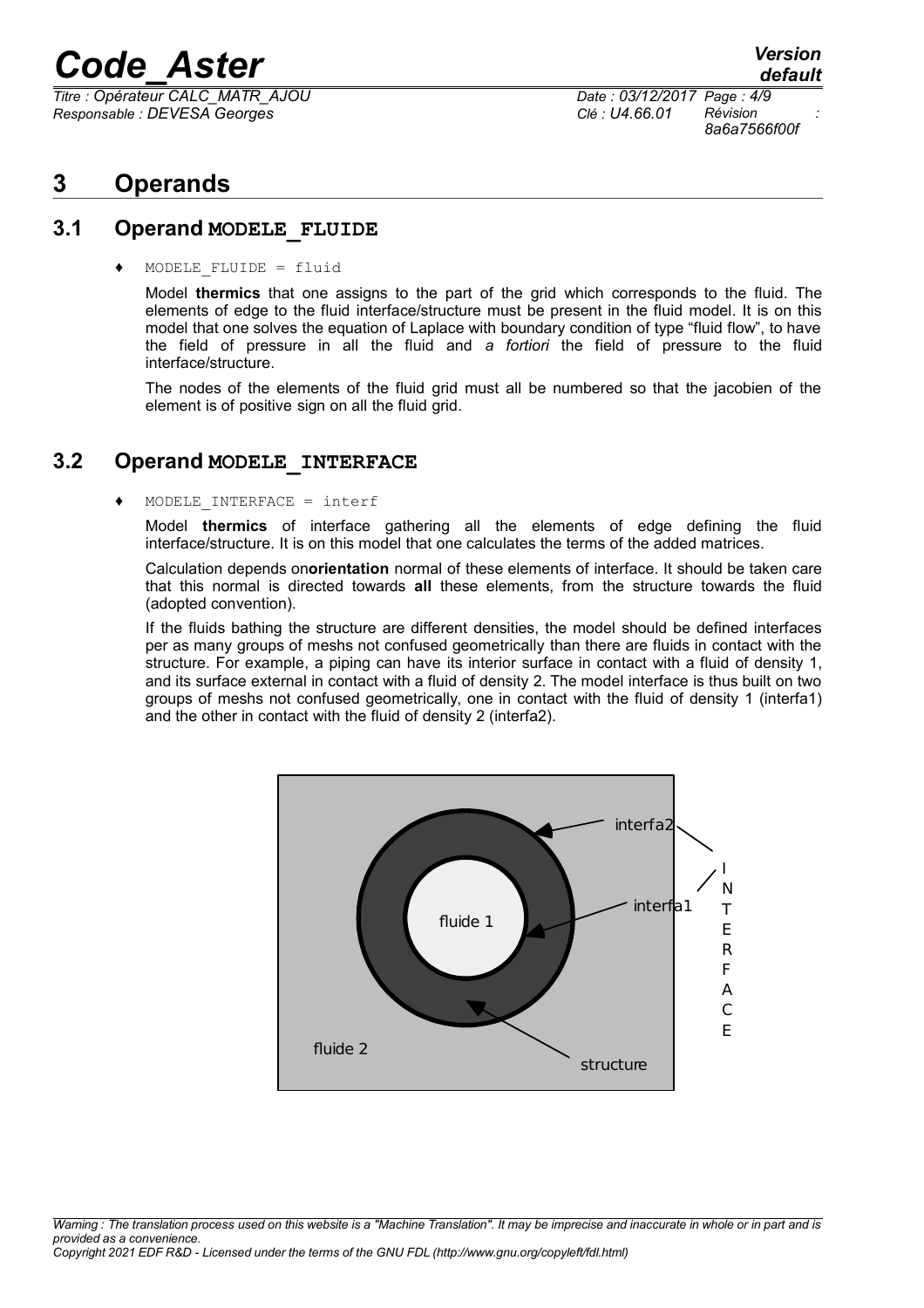*Titre : Opérateur CALC\_MATR\_AJOU Date : 03/12/2017 Page : 4/9 Responsable : DEVESA Georges Clé : U4.66.01 Révision :*

*8a6a7566f00f*

## **3 Operands**

#### **3.1 Operand MODELE\_FLUIDE**

 $MODELE$  FLUIDE = fluid

Model **thermics** that one assigns to the part of the grid which corresponds to the fluid. The elements of edge to the fluid interface/structure must be present in the fluid model. It is on this model that one solves the equation of Laplace with boundary condition of type "fluid flow", to have the field of pressure in all the fluid and *a fortiori* the field of pressure to the fluid interface/structure.

The nodes of the elements of the fluid grid must all be numbered so that the jacobien of the element is of positive sign on all the fluid grid.

#### **3.2 Operand MODELE\_INTERFACE**

#### $MODELE INTERFACE = interf$

Model **thermics** of interface gathering all the elements of edge defining the fluid interface/structure. It is on this model that one calculates the terms of the added matrices.

Calculation depends on**orientation** normal of these elements of interface. It should be taken care that this normal is directed towards **all** these elements, from the structure towards the fluid (adopted convention).

If the fluids bathing the structure are different densities, the model should be defined interfaces per as many groups of meshs not confused geometrically than there are fluids in contact with the structure. For example, a piping can have its interior surface in contact with a fluid of density 1, and its surface external in contact with a fluid of density 2. The model interface is thus built on two groups of meshs not confused geometrically, one in contact with the fluid of density 1 (interfa1) and the other in contact with the fluid of density 2 (interfa2).

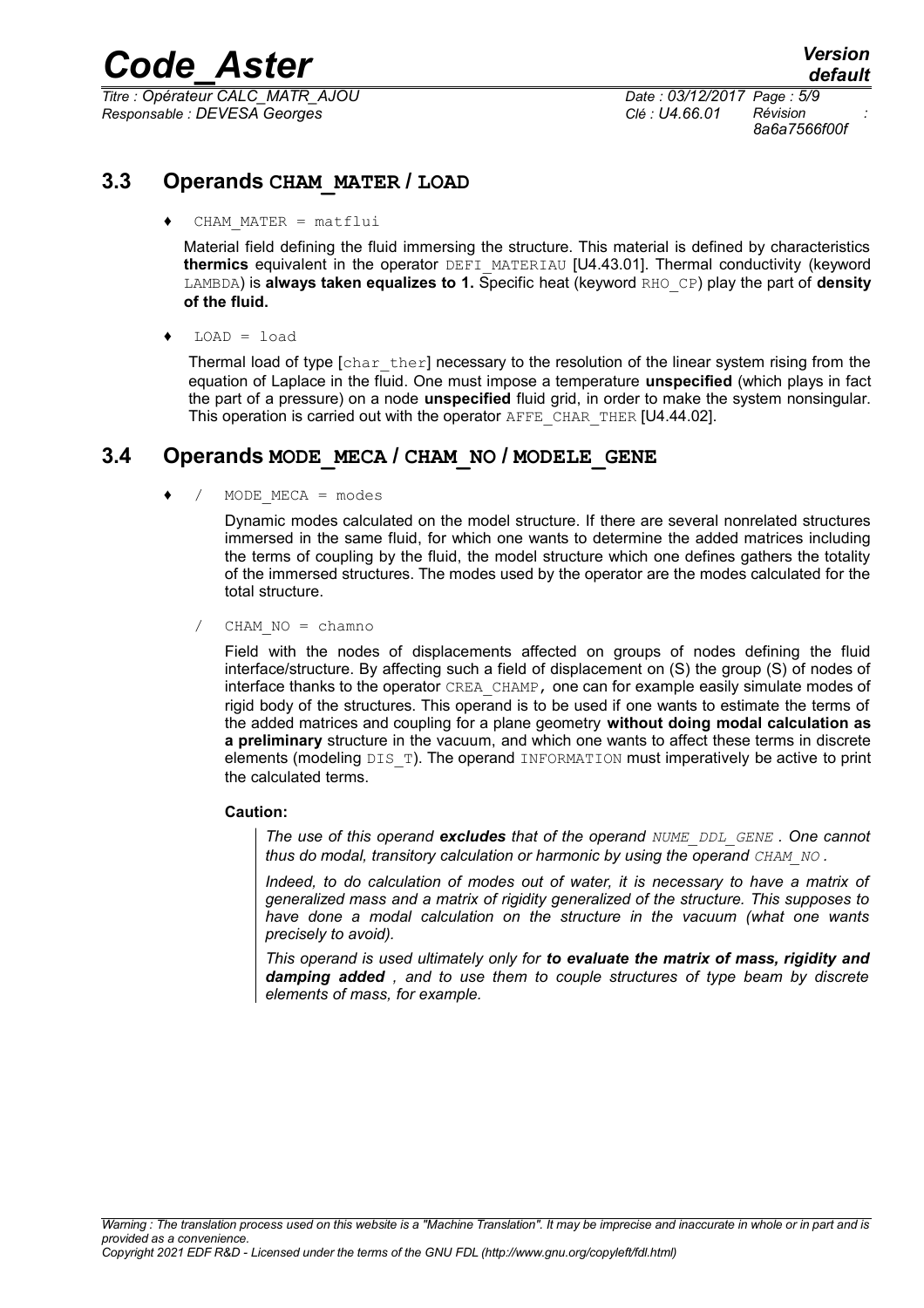*Titre : Opérateur CALC\_MATR\_AJOU Date : 03/12/2017 Page : 5/9 Responsable : DEVESA Georges Clé : U4.66.01 Révision :*

*8a6a7566f00f*

### **3.3 Operands CHAM\_MATER / LOAD**

 $CHAM$   $MATER$  =  $matflui$ 

Material field defining the fluid immersing the structure. This material is defined by characteristics **thermics** equivalent in the operator DEFI\_MATERIAU [U4.43.01]. Thermal conductivity (keyword LAMBDA) is **always taken equalizes to 1.** Specific heat (keyword RHO\_CP) play the part of **density of the fluid.**

 $LOAD = load$ 

Thermal load of type  $[\text{char}\; \text{ther}]$  necessary to the resolution of the linear system rising from the equation of Laplace in the fluid. One must impose a temperature **unspecified** (which plays in fact the part of a pressure) on a node **unspecified** fluid grid, in order to make the system nonsingular. This operation is carried out with the operator AFFE\_CHAR\_THER [U4.44.02].

#### **3.4 Operands MODE\_MECA / CHAM\_NO / MODELE\_GENE**

 $MODE$   $MECA$  =  $modes$ 

Dynamic modes calculated on the model structure. If there are several nonrelated structures immersed in the same fluid, for which one wants to determine the added matrices including the terms of coupling by the fluid, the model structure which one defines gathers the totality of the immersed structures. The modes used by the operator are the modes calculated for the total structure.

 $CHAM NO = chamno$ 

Field with the nodes of displacements affected on groups of nodes defining the fluid interface/structure. By affecting such a field of displacement on (S) the group (S) of nodes of interface thanks to the operator CREA\_CHAMP, one can for example easily simulate modes of rigid body of the structures. This operand is to be used if one wants to estimate the terms of the added matrices and coupling for a plane geometry **without doing modal calculation as a preliminary** structure in the vacuum, and which one wants to affect these terms in discrete elements (modeling DIS\_T). The operand INFORMATION must imperatively be active to print the calculated terms.

#### **Caution:**

*The use of this operand excludes that of the operand NUME\_DDL\_GENE . One cannot thus do modal, transitory calculation or harmonic by using the operand CHAM\_NO* .

*Indeed, to do calculation of modes out of water, it is necessary to have a matrix of generalized mass and a matrix of rigidity generalized of the structure. This supposes to have done a modal calculation on the structure in the vacuum (what one wants precisely to avoid).*

*This operand is used ultimately only for to evaluate the matrix of mass, rigidity and damping added , and to use them to couple structures of type beam by discrete elements of mass, for example.*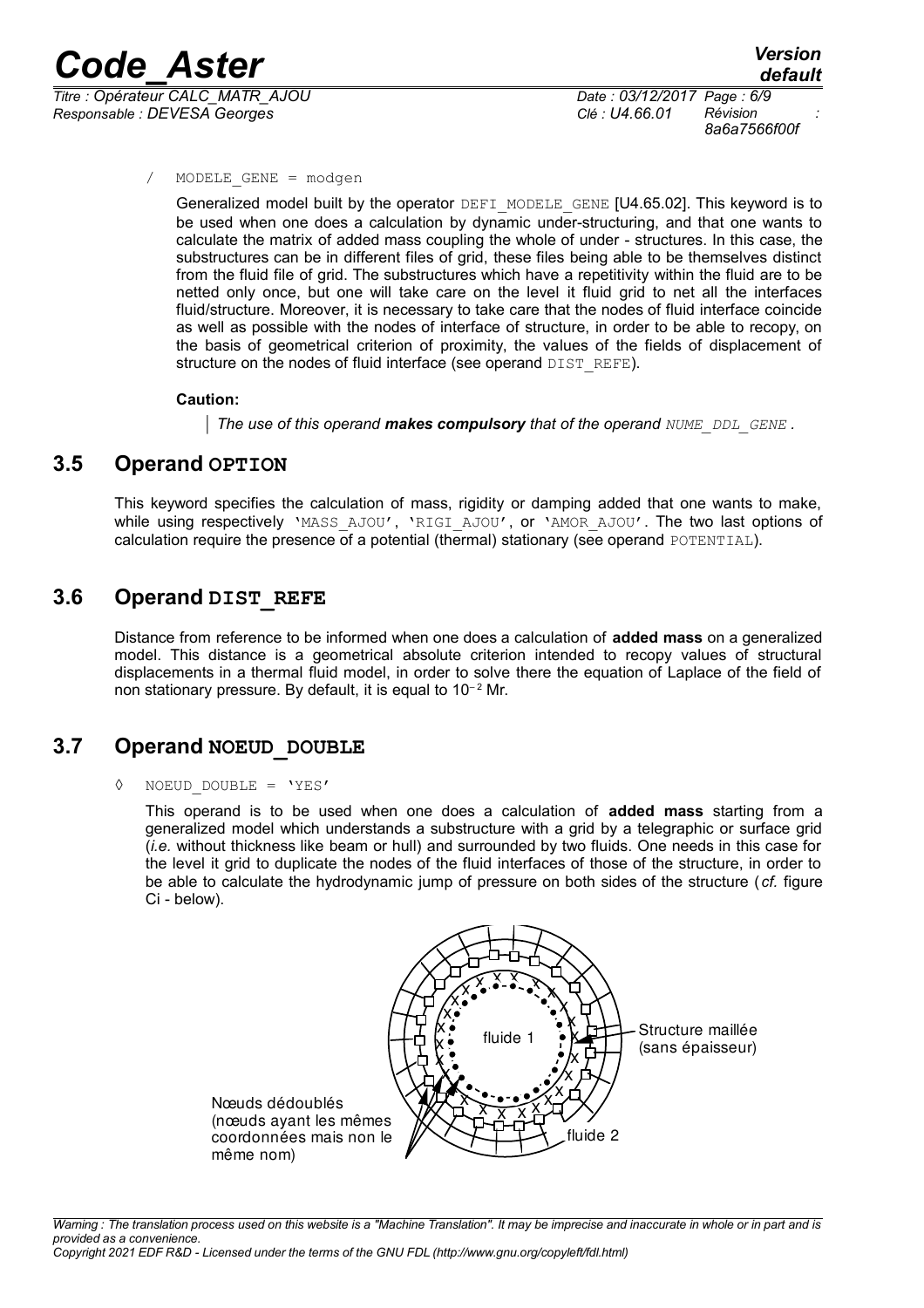*Titre : Opérateur CALC\_MATR\_AJOU Date : 03/12/2017 Page : 6/9 Responsable : DEVESA Georges Clé : U4.66.01 Révision :*

*8a6a7566f00f*

MODELE GENE = modgen

Generalized model built by the operator DEFI\_MODELE\_GENE [U4.65.02]. This keyword is to be used when one does a calculation by dynamic under-structuring, and that one wants to calculate the matrix of added mass coupling the whole of under - structures. In this case, the substructures can be in different files of grid, these files being able to be themselves distinct from the fluid file of grid. The substructures which have a repetitivity within the fluid are to be netted only once, but one will take care on the level it fluid grid to net all the interfaces fluid/structure. Moreover, it is necessary to take care that the nodes of fluid interface coincide as well as possible with the nodes of interface of structure, in order to be able to recopy, on the basis of geometrical criterion of proximity, the values of the fields of displacement of structure on the nodes of fluid interface (see operand DIST\_REFE).

#### **Caution:**

*The use of this operand makes compulsory that of the operand NUME\_DDL\_GENE .*

#### **3.5 Operand OPTION**

This keyword specifies the calculation of mass, rigidity or damping added that one wants to make, while using respectively 'MASS AJOU', 'RIGI\_AJOU', or 'AMOR\_AJOU'. The two last options of calculation require the presence of a potential (thermal) stationary (see operand POTENTIAL).

#### **3.6 Operand DIST\_REFE**

Distance from reference to be informed when one does a calculation of **added mass** on a generalized model. This distance is a geometrical absolute criterion intended to recopy values of structural displacements in a thermal fluid model, in order to solve there the equation of Laplace of the field of non stationary pressure. By default, it is equal to  $10^{-2}$  Mr.

#### **3.7 Operand NOEUD\_DOUBLE**

#### $NOEUD$  DOUBLE = 'YES'

This operand is to be used when one does a calculation of **added mass** starting from a generalized model which understands a substructure with a grid by a telegraphic or surface grid (*i.e.* without thickness like beam or hull) and surrounded by two fluids. One needs in this case for the level it grid to duplicate the nodes of the fluid interfaces of those of the structure, in order to be able to calculate the hydrodynamic jump of pressure on both sides of the structure ( *cf.* figure Ci - below).

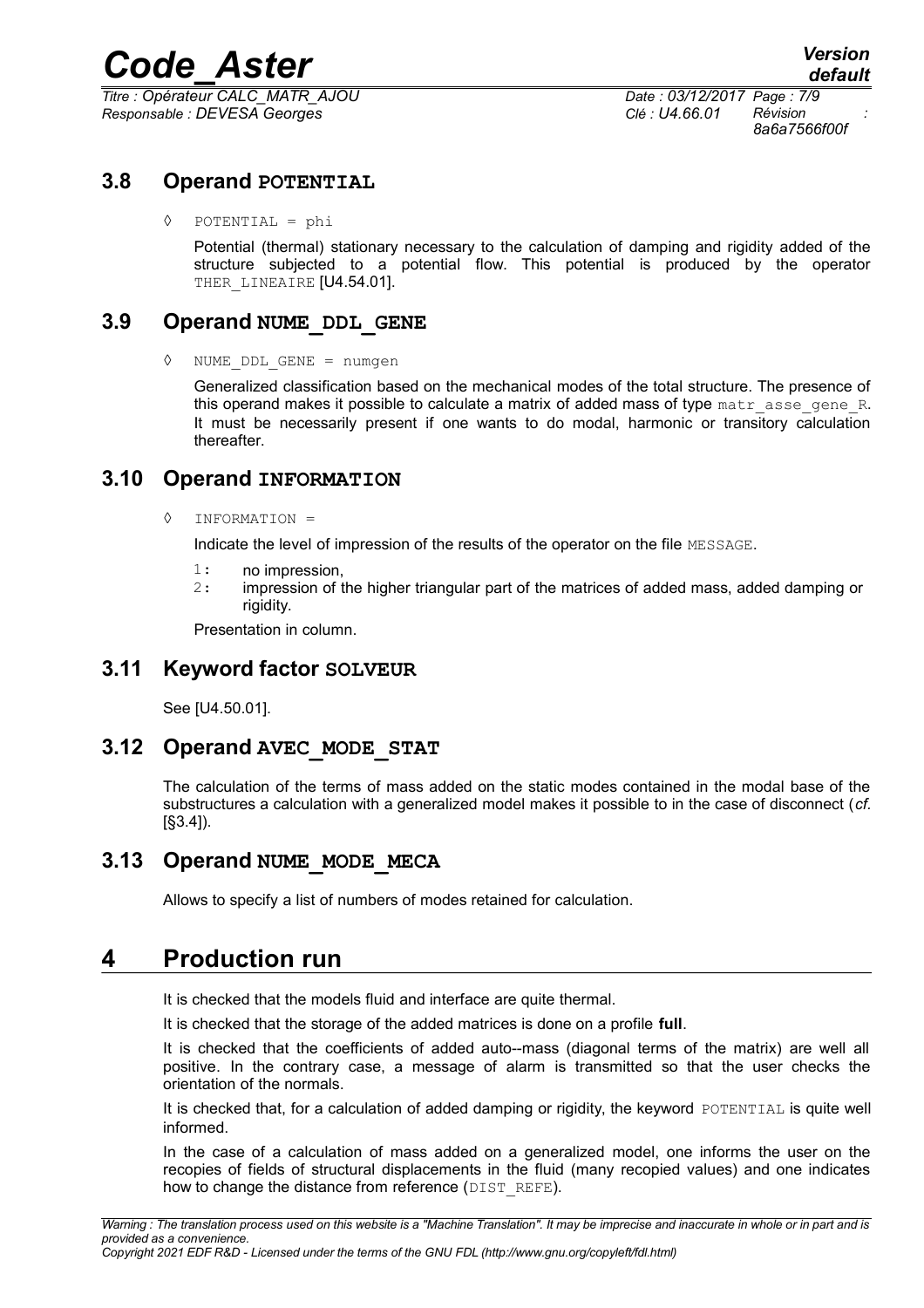*Titre : Opérateur CALC\_MATR\_AJOU Date : 03/12/2017 Page : 7/9 Responsable : DEVESA Georges Clé : U4.66.01 Révision :*

*8a6a7566f00f*

#### **3.8 Operand POTENTIAL**

◊ POTENTIAL = phi

Potential (thermal) stationary necessary to the calculation of damping and rigidity added of the structure subjected to a potential flow. This potential is produced by the operator THER LINEAIRE [U4.54.01].

#### **3.9 Operand NUME\_DDL\_GENE**

◊ NUME\_DDL\_GENE = numgen

Generalized classification based on the mechanical modes of the total structure. The presence of this operand makes it possible to calculate a matrix of added mass of type  $\text{matr}$  asse gene R. It must be necessarily present if one wants to do modal, harmonic or transitory calculation thereafter.

#### **3.10 Operand INFORMATION**

◊ INFORMATION =

Indicate the level of impression of the results of the operator on the file MESSAGE.

- 1: no impression,
- 2: impression of the higher triangular part of the matrices of added mass, added damping or rigidity.

Presentation in column.

#### **3.11 Keyword factor SOLVEUR**

See [U4.50.01].

#### **3.12 Operand AVEC\_MODE\_STAT**

The calculation of the terms of mass added on the static modes contained in the modal base of the substructures a calculation with a generalized model makes it possible to in the case of disconnect (*cf.* [§3.4]).

#### **3.13 Operand NUME\_MODE\_MECA**

Allows to specify a list of numbers of modes retained for calculation.

### **4 Production run**

It is checked that the models fluid and interface are quite thermal.

It is checked that the storage of the added matrices is done on a profile **full**.

It is checked that the coefficients of added auto--mass (diagonal terms of the matrix) are well all positive. In the contrary case, a message of alarm is transmitted so that the user checks the orientation of the normals.

It is checked that, for a calculation of added damping or rigidity, the keyword POTENTIAL is quite well informed.

In the case of a calculation of mass added on a generalized model, one informs the user on the recopies of fields of structural displacements in the fluid (many recopied values) and one indicates how to change the distance from reference (DIST\_REFE).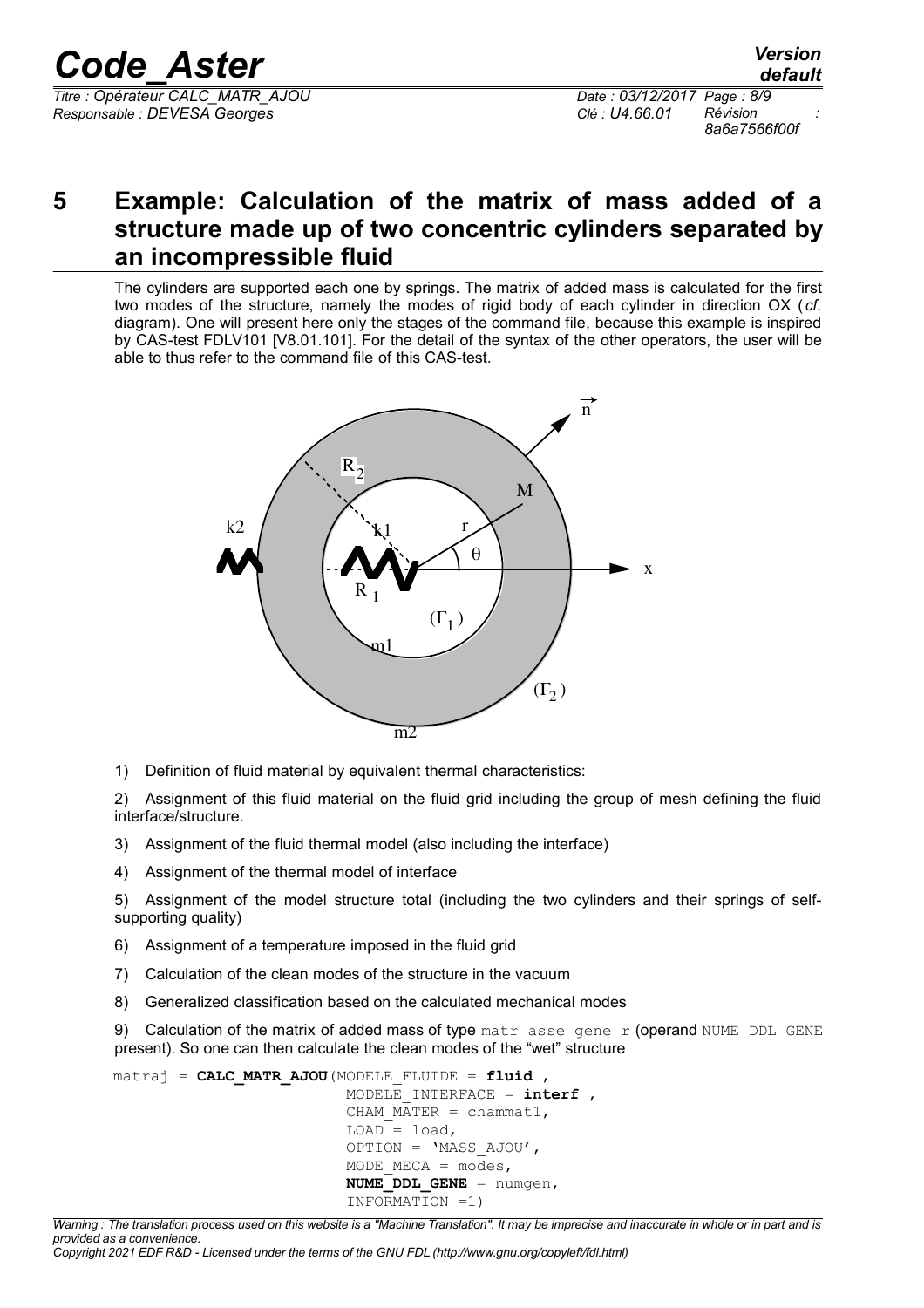*Code\_Aster Version Titre : Opérateur CALC\_MATR\_AJOU Date : 03/12/2017 Page : 8/9*

*Responsable : DEVESA Georges Clé : U4.66.01 Révision :*

*8a6a7566f00f*

## **5 Example: Calculation of the matrix of mass added of a structure made up of two concentric cylinders separated by an incompressible fluid**

The cylinders are supported each one by springs. The matrix of added mass is calculated for the first two modes of the structure, namely the modes of rigid body of each cylinder in direction OX (*cf.* diagram). One will present here only the stages of the command file, because this example is inspired by CAS-test FDLV101 [V8.01.101]. For the detail of the syntax of the other operators, the user will be able to thus refer to the command file of this CAS-test.



1) Definition of fluid material by equivalent thermal characteristics:

2) Assignment of this fluid material on the fluid grid including the group of mesh defining the fluid interface/structure.

- 3) Assignment of the fluid thermal model (also including the interface)
- 4) Assignment of the thermal model of interface

5) Assignment of the model structure total (including the two cylinders and their springs of selfsupporting quality)

- 6) Assignment of a temperature imposed in the fluid grid
- 7) Calculation of the clean modes of the structure in the vacuum
- 8) Generalized classification based on the calculated mechanical modes

9) Calculation of the matrix of added mass of type matrasse gene r (operand NUME DDL GENE present). So one can then calculate the clean modes of the "wet" structure

```
matraj = CALC_MATR_AJOU(MODELE_FLUIDE = fluid ,
                MODELE_INTERFACE = interf ,
               CHAM MATER = chammat1,
               LOAD = load, OPTION = 'MASS_AJOU',
               MODE MECA = \overline{modes},
               NUMEDDL GENE = numgen,
                INFORMATION =1)
```